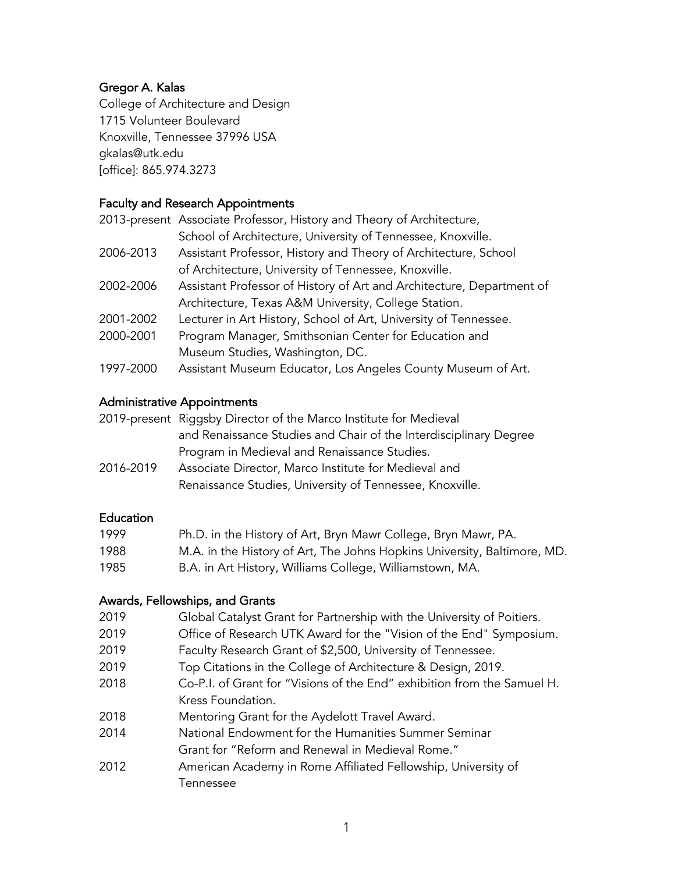# Gregor A. Kalas

College of Architecture and Design 1715 Volunteer Boulevard Knoxville, Tennessee 37996 USA gkalas@utk.edu [office]: 865.974.3273

# Faculty and Research Appointments

|           | 2013-present Associate Professor, History and Theory of Architecture, |
|-----------|-----------------------------------------------------------------------|
|           | School of Architecture, University of Tennessee, Knoxville.           |
| 2006-2013 | Assistant Professor, History and Theory of Architecture, School       |
|           | of Architecture, University of Tennessee, Knoxville.                  |
| 2002-2006 | Assistant Professor of History of Art and Architecture, Department of |
|           | Architecture, Texas A&M University, College Station.                  |
| 2001-2002 | Lecturer in Art History, School of Art, University of Tennessee.      |
| 2000-2001 | Program Manager, Smithsonian Center for Education and                 |
|           | Museum Studies, Washington, DC.                                       |
| 1997-2000 | Assistant Museum Educator, Los Angeles County Museum of Art.          |

### Administrative Appointments

|           | 2019-present Riggsby Director of the Marco Institute for Medieval |
|-----------|-------------------------------------------------------------------|
|           | and Renaissance Studies and Chair of the Interdisciplinary Degree |
|           | Program in Medieval and Renaissance Studies.                      |
| 2016-2019 | Associate Director, Marco Institute for Medieval and              |

Renaissance Studies, University of Tennessee, Knoxville.

## **Education**

| 1999 | Ph.D. in the History of Art, Bryn Mawr College, Bryn Mawr, PA.           |
|------|--------------------------------------------------------------------------|
| 1988 | M.A. in the History of Art, The Johns Hopkins University, Baltimore, MD. |
| 1985 | B.A. in Art History, Williams College, Williamstown, MA.                 |

### Awards, Fellowships, and Grants

| 2019 | Global Catalyst Grant for Partnership with the University of Poitiers.  |
|------|-------------------------------------------------------------------------|
| 2019 | Office of Research UTK Award for the "Vision of the End" Symposium.     |
| 2019 | Faculty Research Grant of \$2,500, University of Tennessee.             |
| 2019 | Top Citations in the College of Architecture & Design, 2019.            |
| 2018 | Co-P.I. of Grant for "Visions of the End" exhibition from the Samuel H. |
|      | Kress Foundation.                                                       |
| 2018 | Mentoring Grant for the Aydelott Travel Award.                          |
| 2014 | National Endowment for the Humanities Summer Seminar                    |
|      | Grant for "Reform and Renewal in Medieval Rome."                        |
| 2012 | American Academy in Rome Affiliated Fellowship, University of           |
|      | Tennessee                                                               |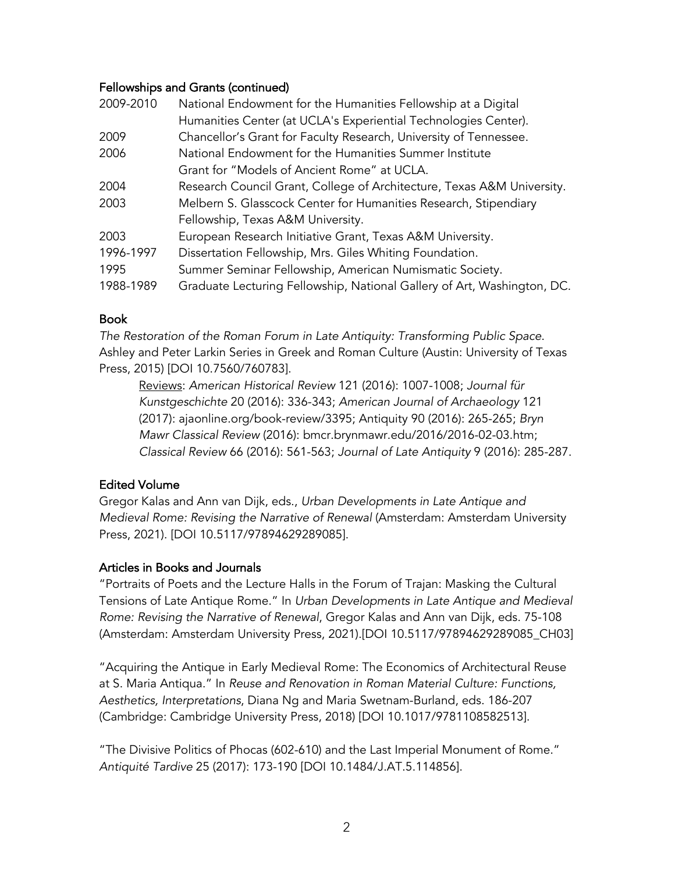### Fellowships and Grants (continued)

| National Endowment for the Humanities Fellowship at a Digital           |
|-------------------------------------------------------------------------|
| Humanities Center (at UCLA's Experiential Technologies Center).         |
| Chancellor's Grant for Faculty Research, University of Tennessee.       |
| National Endowment for the Humanities Summer Institute                  |
| Grant for "Models of Ancient Rome" at UCLA.                             |
| Research Council Grant, College of Architecture, Texas A&M University.  |
| Melbern S. Glasscock Center for Humanities Research, Stipendiary        |
| Fellowship, Texas A&M University.                                       |
| European Research Initiative Grant, Texas A&M University.               |
| Dissertation Fellowship, Mrs. Giles Whiting Foundation.                 |
| Summer Seminar Fellowship, American Numismatic Society.                 |
| Graduate Lecturing Fellowship, National Gallery of Art, Washington, DC. |
|                                                                         |

## Book

*The Restoration of the Roman Forum in Late Antiquity: Transforming Public Space*. Ashley and Peter Larkin Series in Greek and Roman Culture (Austin: University of Texas Press, 2015) [DOI 10.7560/760783].

Reviews: *American Historical Review* 121 (2016): 1007-1008; *Journal für Kunstgeschichte* 20 (2016): 336-343; *American Journal of Archaeology* 121 (2017): ajaonline.org/book-review/3395; Antiquity 90 (2016): 265-265; *Bryn Mawr Classical Review* (2016): bmcr.brynmawr.edu/2016/2016-02-03.htm; *Classical Review* 66 (2016): 561-563; *Journal of Late Antiquity* 9 (2016): 285-287.

# Edited Volume

Gregor Kalas and Ann van Dijk, eds., *Urban Developments in Late Antique and Medieval Rome: Revising the Narrative of Renewal* (Amsterdam: Amsterdam University Press, 2021). [DOI 10.5117/97894629289085].

### Articles in Books and Journals

"Portraits of Poets and the Lecture Halls in the Forum of Trajan: Masking the Cultural Tensions of Late Antique Rome." In *Urban Developments in Late Antique and Medieval Rome: Revising the Narrative of Renewal*, Gregor Kalas and Ann van Dijk, eds. 75-108 (Amsterdam: Amsterdam University Press, 2021).[DOI 10.5117/97894629289085\_CH03]

"Acquiring the Antique in Early Medieval Rome: The Economics of Architectural Reuse at S. Maria Antiqua." In *Reuse and Renovation in Roman Material Culture: Functions, Aesthetics, Interpretations*, Diana Ng and Maria Swetnam-Burland, eds. 186-207 (Cambridge: Cambridge University Press, 2018) [DOI 10.1017/9781108582513].

"The Divisive Politics of Phocas (602-610) and the Last Imperial Monument of Rome." *Antiquité Tardive* 25 (2017): 173-190 [DOI 10.1484/J.AT.5.114856].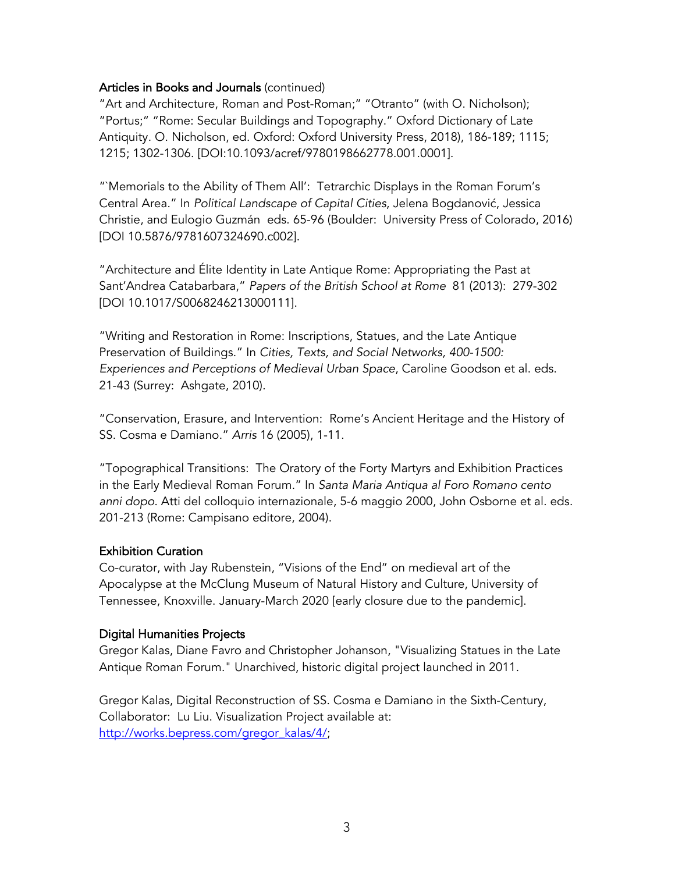### Articles in Books and Journals (continued)

"Art and Architecture, Roman and Post-Roman;" "Otranto" (with O. Nicholson); "Portus;" "Rome: Secular Buildings and Topography." Oxford Dictionary of Late Antiquity. O. Nicholson, ed. Oxford: Oxford University Press, 2018), 186-189; 1115; 1215; 1302-1306. [DOI:10.1093/acref/9780198662778.001.0001].

"`Memorials to the Ability of Them All': Tetrarchic Displays in the Roman Forum's Central Area." In *Political Landscape of Capital Cities*, Jelena Bogdanović, Jessica Christie, and Eulogio Guzmán eds. 65-96 (Boulder: University Press of Colorado, 2016) [DOI 10.5876/9781607324690.c002].

"Architecture and Élite Identity in Late Antique Rome: Appropriating the Past at Sant'Andrea Catabarbara," *Papers of the British School at Rome* 81 (2013): 279-302 [DOI 10.1017/S0068246213000111].

"Writing and Restoration in Rome: Inscriptions, Statues, and the Late Antique Preservation of Buildings." In *Cities, Texts, and Social Networks, 400-1500: Experiences and Perceptions of Medieval Urban Space*, Caroline Goodson et al. eds. 21-43 (Surrey: Ashgate, 2010).

"Conservation, Erasure, and Intervention: Rome's Ancient Heritage and the History of SS. Cosma e Damiano." *Arris* 16 (2005), 1-11.

"Topographical Transitions: The Oratory of the Forty Martyrs and Exhibition Practices in the Early Medieval Roman Forum." In *Santa Maria Antiqua al Foro Romano cento anni dopo*. Atti del colloquio internazionale, 5-6 maggio 2000, John Osborne et al. eds. 201-213 (Rome: Campisano editore, 2004).

#### Exhibition Curation

Co-curator, with Jay Rubenstein, "Visions of the End" on medieval art of the Apocalypse at the McClung Museum of Natural History and Culture, University of Tennessee, Knoxville. January-March 2020 [early closure due to the pandemic].

#### Digital Humanities Projects

Gregor Kalas, Diane Favro and Christopher Johanson, "Visualizing Statues in the Late Antique Roman Forum." Unarchived, historic digital project launched in 2011.

Gregor Kalas, Digital Reconstruction of SS. Cosma e Damiano in the Sixth-Century, Collaborator: Lu Liu. Visualization Project available at: http://works.bepress.com/gregor\_kalas/4/;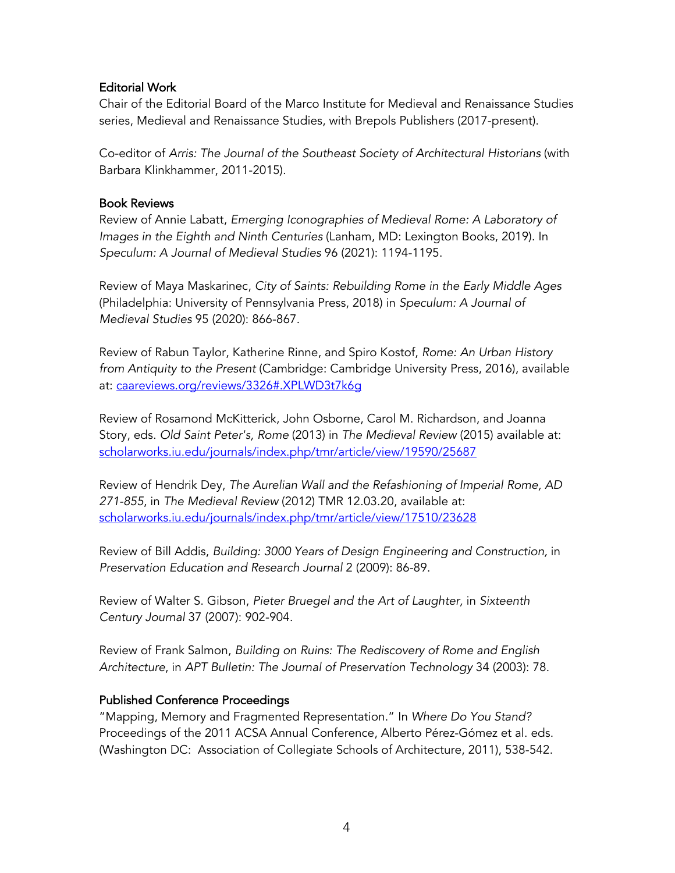#### Editorial Work

Chair of the Editorial Board of the Marco Institute for Medieval and Renaissance Studies series, Medieval and Renaissance Studies, with Brepols Publishers (2017-present).

Co-editor of *Arris: The Journal of the Southeast Society of Architectural Historians* (with Barbara Klinkhammer, 2011-2015).

### Book Reviews

Review of Annie Labatt, *Emerging Iconographies of Medieval Rome: A Laboratory of Images in the Eighth and Ninth Centuries* (Lanham, MD: Lexington Books, 2019). In *Speculum: A Journal of Medieval Studies* 96 (2021): 1194-1195.

Review of Maya Maskarinec, *City of Saints: Rebuilding Rome in the Early Middle Ages* (Philadelphia: University of Pennsylvania Press, 2018) in *Speculum: A Journal of Medieval Studies* 95 (2020): 866-867.

Review of Rabun Taylor, Katherine Rinne, and Spiro Kostof, *Rome: An Urban History from Antiquity to the Present* (Cambridge: Cambridge University Press, 2016), available at: caareviews.org/reviews/3326#.XPLWD3t7k6g

Review of Rosamond McKitterick, John Osborne, Carol M. Richardson, and Joanna Story, eds. *Old Saint Peter's, Rome* (2013) in *The Medieval Review* (2015) available at: scholarworks.iu.edu/journals/index.php/tmr/article/view/19590/25687

Review of Hendrik Dey, *The Aurelian Wall and the Refashioning of Imperial Rome, AD 271-855*, in *The Medieval Review* (2012) TMR 12.03.20, available at: scholarworks.iu.edu/journals/index.php/tmr/article/view/17510/23628

Review of Bill Addis, *Building: 3000 Years of Design Engineering and Construction,* in *Preservation Education and Research Journal* 2 (2009): 86-89.

Review of Walter S. Gibson, *Pieter Bruegel and the Art of Laughter,* in *Sixteenth Century Journal* 37 (2007): 902-904.

Review of Frank Salmon, *Building on Ruins: The Rediscovery of Rome and English Architecture*, in *APT Bulletin: The Journal of Preservation Technology* 34 (2003): 78.

### Published Conference Proceedings

"Mapping, Memory and Fragmented Representation." In *Where Do You Stand?* Proceedings of the 2011 ACSA Annual Conference, Alberto Pérez-Gómez et al. eds. (Washington DC: Association of Collegiate Schools of Architecture, 2011), 538-542.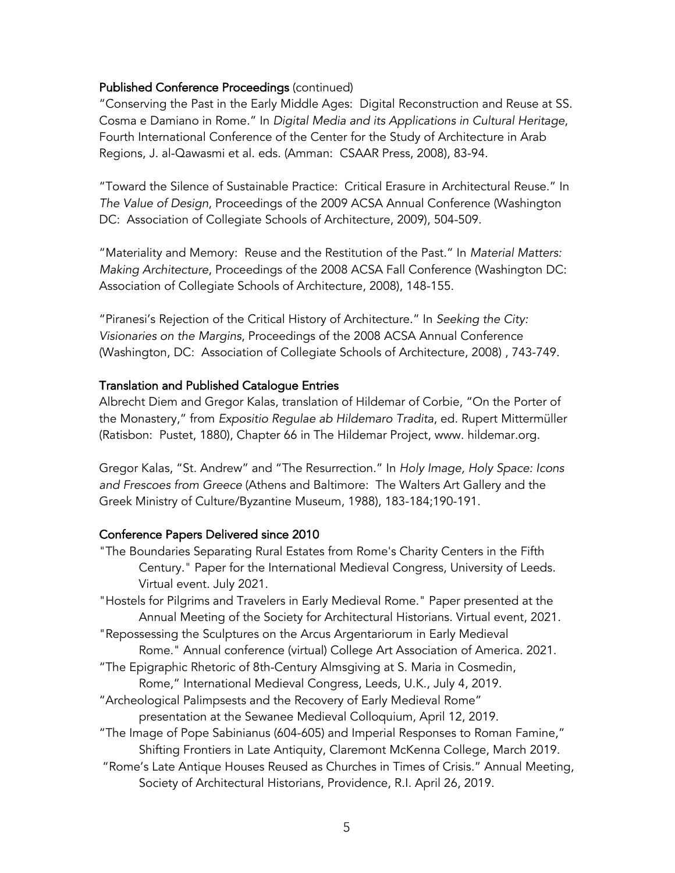### Published Conference Proceedings (continued)

"Conserving the Past in the Early Middle Ages: Digital Reconstruction and Reuse at SS. Cosma e Damiano in Rome." In *Digital Media and its Applications in Cultural Heritage*, Fourth International Conference of the Center for the Study of Architecture in Arab Regions, J. al-Qawasmi et al. eds. (Amman: CSAAR Press, 2008), 83-94.

"Toward the Silence of Sustainable Practice: Critical Erasure in Architectural Reuse." In *The Value of Design*, Proceedings of the 2009 ACSA Annual Conference (Washington DC: Association of Collegiate Schools of Architecture, 2009), 504-509.

"Materiality and Memory: Reuse and the Restitution of the Past." In *Material Matters: Making Architecture*, Proceedings of the 2008 ACSA Fall Conference (Washington DC: Association of Collegiate Schools of Architecture, 2008), 148-155.

"Piranesi's Rejection of the Critical History of Architecture." In *Seeking the City: Visionaries on the Margins*, Proceedings of the 2008 ACSA Annual Conference (Washington, DC: Association of Collegiate Schools of Architecture, 2008) , 743-749.

### Translation and Published Catalogue Entries

Albrecht Diem and Gregor Kalas, translation of Hildemar of Corbie, "On the Porter of the Monastery," from *Expositio Regulae ab Hildemaro Tradita*, ed. Rupert Mittermüller (Ratisbon: Pustet, 1880), Chapter 66 in The Hildemar Project, www. hildemar.org.

Gregor Kalas, "St. Andrew" and "The Resurrection." In *Holy Image, Holy Space: Icons and Frescoes from Greece* (Athens and Baltimore: The Walters Art Gallery and the Greek Ministry of Culture/Byzantine Museum, 1988), 183-184;190-191.

### Conference Papers Delivered since 2010

"The Boundaries Separating Rural Estates from Rome's Charity Centers in the Fifth Century." Paper for the International Medieval Congress, University of Leeds. Virtual event. July 2021.

"Hostels for Pilgrims and Travelers in Early Medieval Rome." Paper presented at the Annual Meeting of the Society for Architectural Historians. Virtual event, 2021.

- "Repossessing the Sculptures on the Arcus Argentariorum in Early Medieval Rome." Annual conference (virtual) College Art Association of America. 2021.
- "The Epigraphic Rhetoric of 8th-Century Almsgiving at S. Maria in Cosmedin, Rome," International Medieval Congress, Leeds, U.K., July 4, 2019.
- "Archeological Palimpsests and the Recovery of Early Medieval Rome"

presentation at the Sewanee Medieval Colloquium, April 12, 2019.

- "The Image of Pope Sabinianus (604-605) and Imperial Responses to Roman Famine," Shifting Frontiers in Late Antiquity, Claremont McKenna College, March 2019.
- "Rome's Late Antique Houses Reused as Churches in Times of Crisis." Annual Meeting, Society of Architectural Historians, Providence, R.I. April 26, 2019.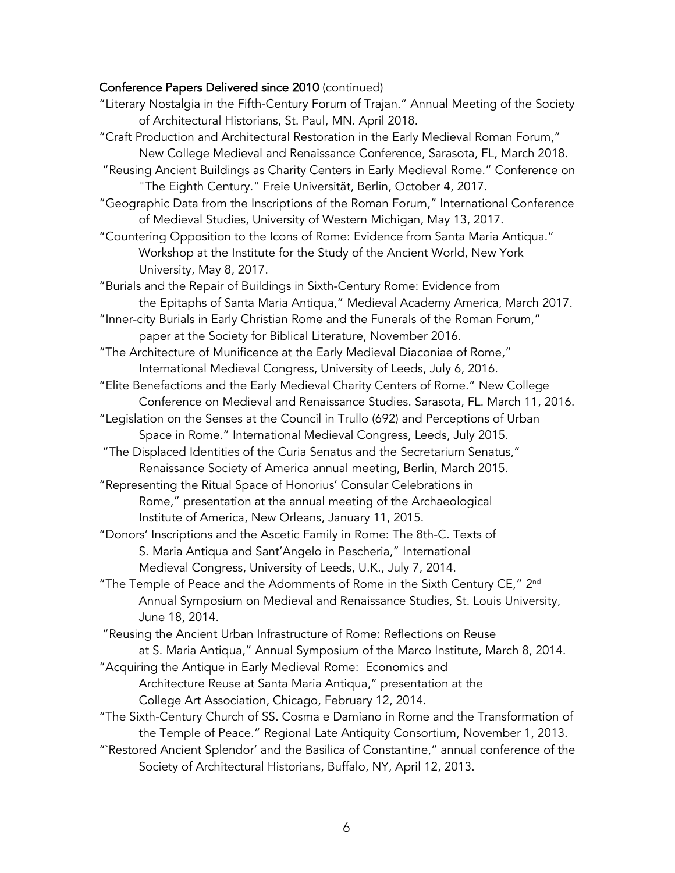# Conference Papers Delivered since 2010 (continued)

| "Literary Nostalgia in the Fifth-Century Forum of Trajan." Annual Meeting of the Society<br>of Architectural Historians, St. Paul, MN. April 2018.                                     |
|----------------------------------------------------------------------------------------------------------------------------------------------------------------------------------------|
| "Craft Production and Architectural Restoration in the Early Medieval Roman Forum,"                                                                                                    |
| New College Medieval and Renaissance Conference, Sarasota, FL, March 2018.                                                                                                             |
| "Reusing Ancient Buildings as Charity Centers in Early Medieval Rome." Conference on<br>"The Eighth Century." Freie Universität, Berlin, October 4, 2017.                              |
| "Geographic Data from the Inscriptions of the Roman Forum," International Conference<br>of Medieval Studies, University of Western Michigan, May 13, 2017.                             |
| "Countering Opposition to the Icons of Rome: Evidence from Santa Maria Antiqua."<br>Workshop at the Institute for the Study of the Ancient World, New York<br>University, May 8, 2017. |
| "Burials and the Repair of Buildings in Sixth-Century Rome: Evidence from                                                                                                              |
| the Epitaphs of Santa Maria Antiqua," Medieval Academy America, March 2017.                                                                                                            |
| "Inner-city Burials in Early Christian Rome and the Funerals of the Roman Forum,"                                                                                                      |
| paper at the Society for Biblical Literature, November 2016.                                                                                                                           |
| "The Architecture of Munificence at the Early Medieval Diaconiae of Rome,"                                                                                                             |
| International Medieval Congress, University of Leeds, July 6, 2016.                                                                                                                    |
| "Elite Benefactions and the Early Medieval Charity Centers of Rome." New College<br>Conference on Medieval and Renaissance Studies. Sarasota, FL. March 11, 2016.                      |
| "Legislation on the Senses at the Council in Trullo (692) and Perceptions of Urban                                                                                                     |
| Space in Rome." International Medieval Congress, Leeds, July 2015.                                                                                                                     |
| "The Displaced Identities of the Curia Senatus and the Secretarium Senatus,"                                                                                                           |
| Renaissance Society of America annual meeting, Berlin, March 2015.                                                                                                                     |
| "Representing the Ritual Space of Honorius' Consular Celebrations in                                                                                                                   |
| Rome," presentation at the annual meeting of the Archaeological                                                                                                                        |
|                                                                                                                                                                                        |
| Institute of America, New Orleans, January 11, 2015.                                                                                                                                   |
| "Donors' Inscriptions and the Ascetic Family in Rome: The 8th-C. Texts of                                                                                                              |
| S. Maria Antiqua and Sant'Angelo in Pescheria," International                                                                                                                          |
| Medieval Congress, University of Leeds, U.K., July 7, 2014.                                                                                                                            |
| "The Temple of Peace and the Adornments of Rome in the Sixth Century CE," 2nd<br>Annual Symposium on Medieval and Renaissance Studies, St. Louis University,                           |
| June 18, 2014.                                                                                                                                                                         |
| "Reusing the Ancient Urban Infrastructure of Rome: Reflections on Reuse<br>at S. Maria Antiqua," Annual Symposium of the Marco Institute, March 8, 2014.                               |
| "Acquiring the Antique in Early Medieval Rome: Economics and                                                                                                                           |
| Architecture Reuse at Santa Maria Antiqua," presentation at the                                                                                                                        |
| College Art Association, Chicago, February 12, 2014.                                                                                                                                   |
| "The Sixth-Century Church of SS. Cosma e Damiano in Rome and the Transformation of                                                                                                     |
| the Temple of Peace." Regional Late Antiquity Consortium, November 1, 2013.                                                                                                            |
|                                                                                                                                                                                        |
| "`Restored Ancient Splendor' and the Basilica of Constantine," annual conference of the<br>Society of Architectural Historians, Buffalo, NY, April 12, 2013.                           |
|                                                                                                                                                                                        |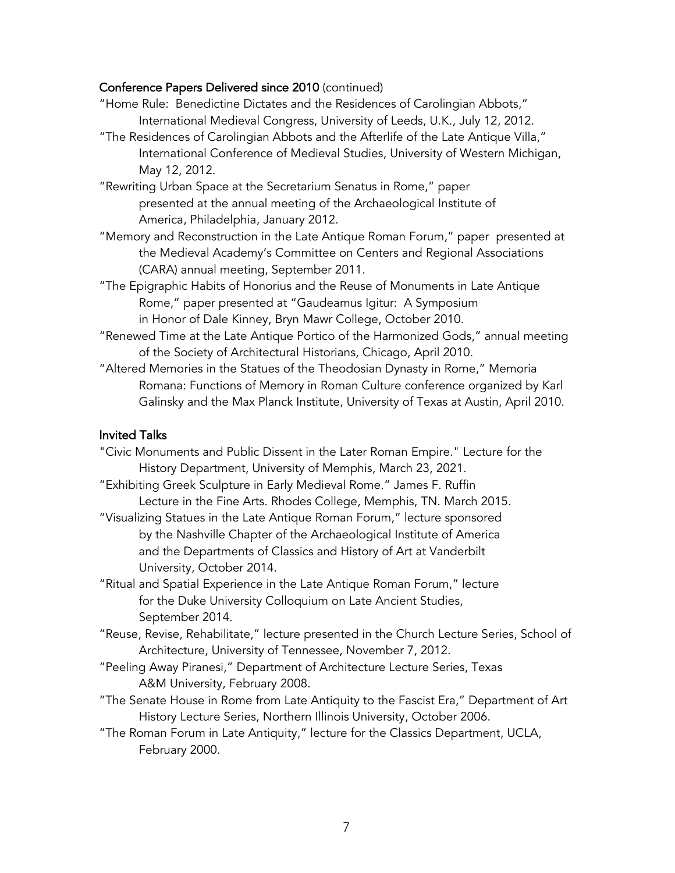### Conference Papers Delivered since 2010 (continued)

- "Home Rule: Benedictine Dictates and the Residences of Carolingian Abbots," International Medieval Congress, University of Leeds, U.K., July 12, 2012.
- "The Residences of Carolingian Abbots and the Afterlife of the Late Antique Villa," International Conference of Medieval Studies, University of Western Michigan, May 12, 2012.
- "Rewriting Urban Space at the Secretarium Senatus in Rome," paper presented at the annual meeting of the Archaeological Institute of America, Philadelphia, January 2012.
- "Memory and Reconstruction in the Late Antique Roman Forum," paper presented at the Medieval Academy's Committee on Centers and Regional Associations (CARA) annual meeting, September 2011.
- "The Epigraphic Habits of Honorius and the Reuse of Monuments in Late Antique Rome," paper presented at "Gaudeamus Igitur: A Symposium in Honor of Dale Kinney, Bryn Mawr College, October 2010.
- "Renewed Time at the Late Antique Portico of the Harmonized Gods," annual meeting of the Society of Architectural Historians, Chicago, April 2010.
- "Altered Memories in the Statues of the Theodosian Dynasty in Rome," Memoria Romana: Functions of Memory in Roman Culture conference organized by Karl Galinsky and the Max Planck Institute, University of Texas at Austin, April 2010.

#### Invited Talks

"Civic Monuments and Public Dissent in the Later Roman Empire." Lecture for the History Department, University of Memphis, March 23, 2021. "Exhibiting Greek Sculpture in Early Medieval Rome." James F. Ruffin Lecture in the Fine Arts. Rhodes College, Memphis, TN. March 2015. "Visualizing Statues in the Late Antique Roman Forum," lecture sponsored by the Nashville Chapter of the Archaeological Institute of America and the Departments of Classics and History of Art at Vanderbilt University, October 2014. "Ritual and Spatial Experience in the Late Antique Roman Forum," lecture for the Duke University Colloquium on Late Ancient Studies, September 2014. "Reuse, Revise, Rehabilitate," lecture presented in the Church Lecture Series, School of Architecture, University of Tennessee, November 7, 2012. "Peeling Away Piranesi," Department of Architecture Lecture Series, Texas A&M University, February 2008. "The Senate House in Rome from Late Antiquity to the Fascist Era," Department of Art History Lecture Series, Northern Illinois University, October 2006.

"The Roman Forum in Late Antiquity," lecture for the Classics Department, UCLA, February 2000.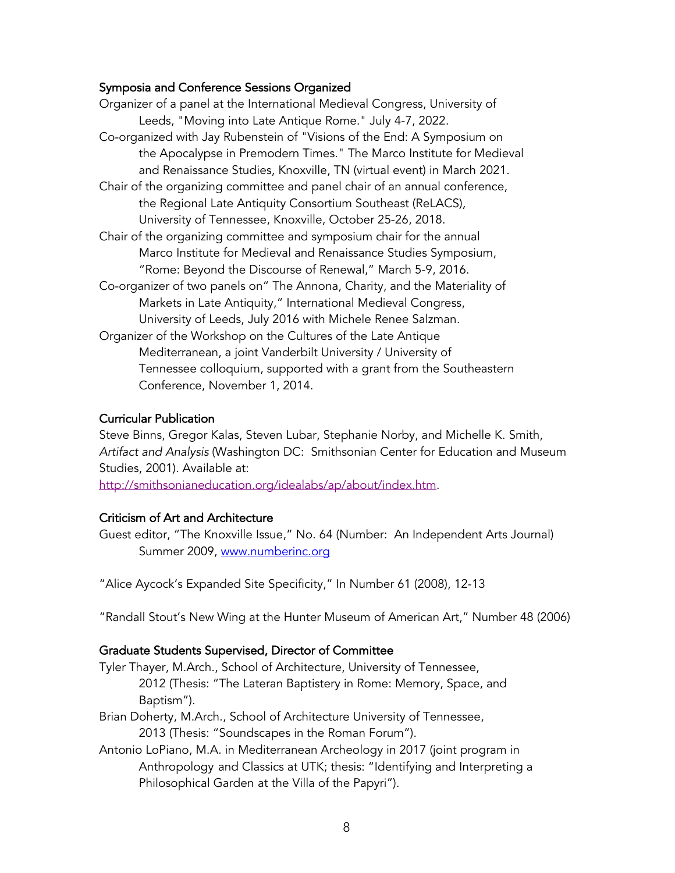#### Symposia and Conference Sessions Organized

| Organizer of a panel at the International Medieval Congress, University of |
|----------------------------------------------------------------------------|
| Leeds, "Moving into Late Antique Rome." July 4-7, 2022.                    |
| Co-organized with Jay Rubenstein of "Visions of the End: A Symposium on    |
| the Apocalypse in Premodern Times." The Marco Institute for Medieval       |
| and Renaissance Studies, Knoxville, TN (virtual event) in March 2021.      |
| Chair of the organizing committee and panel chair of an annual conference, |
| the Regional Late Antiquity Consortium Southeast (ReLACS),                 |
| University of Tennessee, Knoxville, October 25-26, 2018.                   |
| Chair of the organizing committee and symposium chair for the annual       |
| Marco Institute for Medieval and Renaissance Studies Symposium,            |
| "Rome: Beyond the Discourse of Renewal," March 5-9, 2016.                  |
| Co-organizer of two panels on" The Annona, Charity, and the Materiality of |
| Markets in Late Antiquity," International Medieval Congress,               |
| University of Leeds, July 2016 with Michele Renee Salzman.                 |
| Organizer of the Workshop on the Cultures of the Late Antique              |
| Mediterranean, a joint Vanderbilt University / University of               |
| Tennessee colloquium, supported with a grant from the Southeastern         |
| Conference, November 1, 2014.                                              |

#### Curricular Publication

Steve Binns, Gregor Kalas, Steven Lubar, Stephanie Norby, and Michelle K. Smith, *Artifact and Analysis* (Washington DC: Smithsonian Center for Education and Museum Studies, 2001). Available at:

http://smithsonianeducation.org/idealabs/ap/about/index.htm.

#### Criticism of Art and Architecture

Guest editor, "The Knoxville Issue," No. 64 (Number: An Independent Arts Journal) Summer 2009, www.numberinc.org

"Alice Aycock's Expanded Site Specificity," In Number 61 (2008), 12-13

"Randall Stout's New Wing at the Hunter Museum of American Art," Number 48 (2006)

#### Graduate Students Supervised, Director of Committee

Tyler Thayer, M.Arch., School of Architecture, University of Tennessee, 2012 (Thesis: "The Lateran Baptistery in Rome: Memory, Space, and Baptism").

Brian Doherty, M.Arch., School of Architecture University of Tennessee, 2013 (Thesis: "Soundscapes in the Roman Forum").

Antonio LoPiano, M.A. in Mediterranean Archeology in 2017 (joint program in Anthropology and Classics at UTK; thesis: "Identifying and Interpreting a Philosophical Garden at the Villa of the Papyri").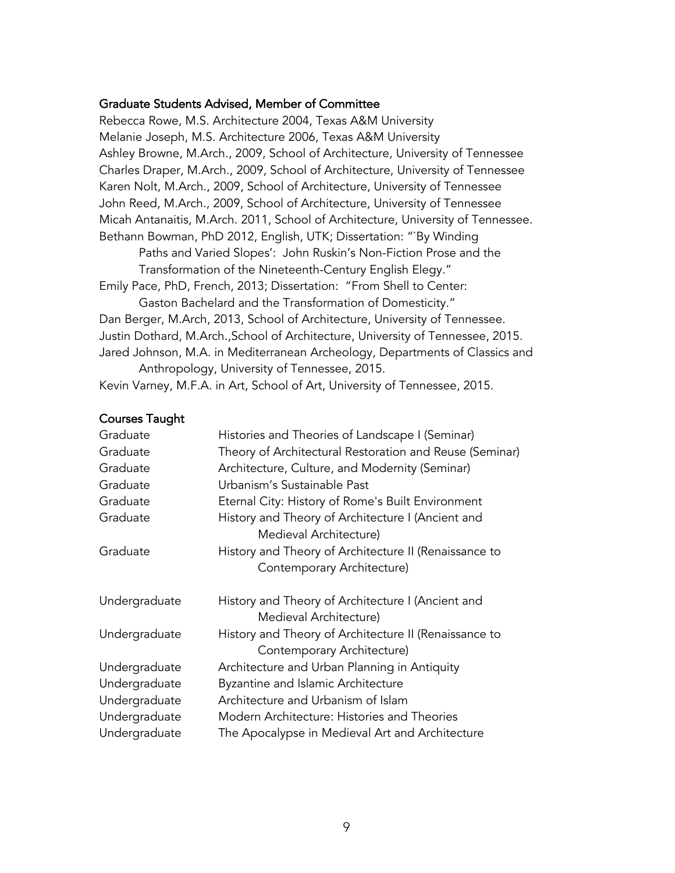#### Graduate Students Advised, Member of Committee

Rebecca Rowe, M.S. Architecture 2004, Texas A&M University Melanie Joseph, M.S. Architecture 2006, Texas A&M University Ashley Browne, M.Arch., 2009, School of Architecture, University of Tennessee Charles Draper, M.Arch., 2009, School of Architecture, University of Tennessee Karen Nolt, M.Arch., 2009, School of Architecture, University of Tennessee John Reed, M.Arch., 2009, School of Architecture, University of Tennessee Micah Antanaitis, M.Arch. 2011, School of Architecture, University of Tennessee. Bethann Bowman, PhD 2012, English, UTK; Dissertation: "`By Winding

Paths and Varied Slopes': John Ruskin's Non-Fiction Prose and the Transformation of the Nineteenth-Century English Elegy."

Emily Pace, PhD, French, 2013; Dissertation: "From Shell to Center:

Gaston Bachelard and the Transformation of Domesticity."

Dan Berger, M.Arch, 2013, School of Architecture, University of Tennessee. Justin Dothard, M.Arch.,School of Architecture, University of Tennessee, 2015. Jared Johnson, M.A. in Mediterranean Archeology, Departments of Classics and Anthropology, University of Tennessee, 2015.

Kevin Varney, M.F.A. in Art, School of Art, University of Tennessee, 2015.

#### Courses Taught

| Graduate      | Histories and Theories of Landscape I (Seminar)                                     |
|---------------|-------------------------------------------------------------------------------------|
| Graduate      | Theory of Architectural Restoration and Reuse (Seminar)                             |
| Graduate      | Architecture, Culture, and Modernity (Seminar)                                      |
| Graduate      | Urbanism's Sustainable Past                                                         |
| Graduate      | Eternal City: History of Rome's Built Environment                                   |
| Graduate      | History and Theory of Architecture I (Ancient and<br>Medieval Architecture)         |
| Graduate      | History and Theory of Architecture II (Renaissance to<br>Contemporary Architecture) |
| Undergraduate | History and Theory of Architecture I (Ancient and<br>Medieval Architecture)         |
| Undergraduate | History and Theory of Architecture II (Renaissance to<br>Contemporary Architecture) |
| Undergraduate | Architecture and Urban Planning in Antiquity                                        |
| Undergraduate | Byzantine and Islamic Architecture                                                  |
| Undergraduate | Architecture and Urbanism of Islam                                                  |
| Undergraduate | Modern Architecture: Histories and Theories                                         |
| Undergraduate | The Apocalypse in Medieval Art and Architecture                                     |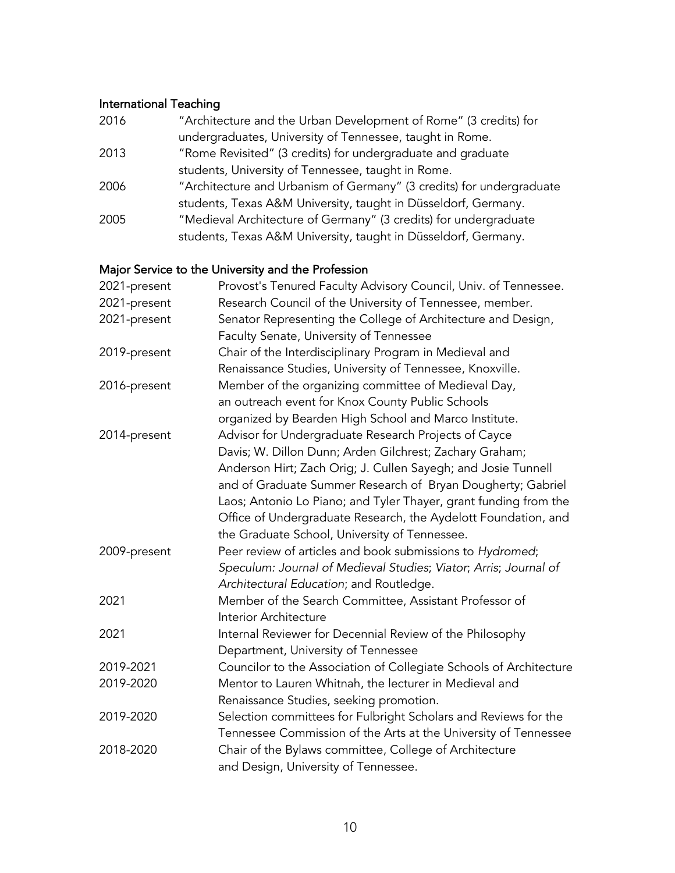# International Teaching

| 2016 | "Architecture and the Urban Development of Rome" (3 credits) for     |
|------|----------------------------------------------------------------------|
|      | undergraduates, University of Tennessee, taught in Rome.             |
| 2013 | "Rome Revisited" (3 credits) for undergraduate and graduate          |
|      | students, University of Tennessee, taught in Rome.                   |
| 2006 | "Architecture and Urbanism of Germany" (3 credits) for undergraduate |
|      | students, Texas A&M University, taught in Düsseldorf, Germany.       |
| 2005 | "Medieval Architecture of Germany" (3 credits) for undergraduate     |
|      | students, Texas A&M University, taught in Düsseldorf, Germany.       |

# Major Service to the University and the Profession

| 2021-present | Provost's Tenured Faculty Advisory Council, Univ. of Tennessee.    |
|--------------|--------------------------------------------------------------------|
| 2021-present | Research Council of the University of Tennessee, member.           |
| 2021-present | Senator Representing the College of Architecture and Design,       |
|              | Faculty Senate, University of Tennessee                            |
| 2019-present | Chair of the Interdisciplinary Program in Medieval and             |
|              | Renaissance Studies, University of Tennessee, Knoxville.           |
| 2016-present | Member of the organizing committee of Medieval Day,                |
|              | an outreach event for Knox County Public Schools                   |
|              | organized by Bearden High School and Marco Institute.              |
| 2014-present | Advisor for Undergraduate Research Projects of Cayce               |
|              | Davis; W. Dillon Dunn; Arden Gilchrest; Zachary Graham;            |
|              | Anderson Hirt; Zach Orig; J. Cullen Sayegh; and Josie Tunnell      |
|              | and of Graduate Summer Research of Bryan Dougherty; Gabriel        |
|              | Laos; Antonio Lo Piano; and Tyler Thayer, grant funding from the   |
|              | Office of Undergraduate Research, the Aydelott Foundation, and     |
|              | the Graduate School, University of Tennessee.                      |
| 2009-present | Peer review of articles and book submissions to Hydromed;          |
|              | Speculum: Journal of Medieval Studies; Viator; Arris; Journal of   |
|              | Architectural Education; and Routledge.                            |
| 2021         | Member of the Search Committee, Assistant Professor of             |
|              | Interior Architecture                                              |
| 2021         | Internal Reviewer for Decennial Review of the Philosophy           |
|              | Department, University of Tennessee                                |
| 2019-2021    | Councilor to the Association of Collegiate Schools of Architecture |
| 2019-2020    | Mentor to Lauren Whitnah, the lecturer in Medieval and             |
|              | Renaissance Studies, seeking promotion.                            |
| 2019-2020    | Selection committees for Fulbright Scholars and Reviews for the    |
|              | Tennessee Commission of the Arts at the University of Tennessee    |
| 2018-2020    | Chair of the Bylaws committee, College of Architecture             |
|              | and Design, University of Tennessee.                               |